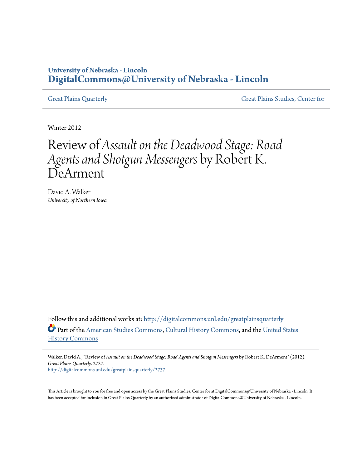## **University of Nebraska - Lincoln [DigitalCommons@University of Nebraska - Lincoln](http://digitalcommons.unl.edu?utm_source=digitalcommons.unl.edu%2Fgreatplainsquarterly%2F2737&utm_medium=PDF&utm_campaign=PDFCoverPages)**

[Great Plains Quarterly](http://digitalcommons.unl.edu/greatplainsquarterly?utm_source=digitalcommons.unl.edu%2Fgreatplainsquarterly%2F2737&utm_medium=PDF&utm_campaign=PDFCoverPages) [Great Plains Studies, Center for](http://digitalcommons.unl.edu/greatplainsstudies?utm_source=digitalcommons.unl.edu%2Fgreatplainsquarterly%2F2737&utm_medium=PDF&utm_campaign=PDFCoverPages)

Winter 2012

## Review of *Assault on the Deadwood Stage: Road Agents and Shotgun Messengers* by Robert K. DeArment

David A. Walker *University of Northern Iowa*

Follow this and additional works at: [http://digitalcommons.unl.edu/greatplainsquarterly](http://digitalcommons.unl.edu/greatplainsquarterly?utm_source=digitalcommons.unl.edu%2Fgreatplainsquarterly%2F2737&utm_medium=PDF&utm_campaign=PDFCoverPages) Part of the [American Studies Commons](http://network.bepress.com/hgg/discipline/439?utm_source=digitalcommons.unl.edu%2Fgreatplainsquarterly%2F2737&utm_medium=PDF&utm_campaign=PDFCoverPages), [Cultural History Commons](http://network.bepress.com/hgg/discipline/496?utm_source=digitalcommons.unl.edu%2Fgreatplainsquarterly%2F2737&utm_medium=PDF&utm_campaign=PDFCoverPages), and the [United States](http://network.bepress.com/hgg/discipline/495?utm_source=digitalcommons.unl.edu%2Fgreatplainsquarterly%2F2737&utm_medium=PDF&utm_campaign=PDFCoverPages) [History Commons](http://network.bepress.com/hgg/discipline/495?utm_source=digitalcommons.unl.edu%2Fgreatplainsquarterly%2F2737&utm_medium=PDF&utm_campaign=PDFCoverPages)

Walker, David A., "Review of *Assault on the Deadwood Stage: Road Agents and Shotgun Messengers* by Robert K. DeArment" (2012). *Great Plains Quarterly*. 2737. [http://digitalcommons.unl.edu/greatplainsquarterly/2737](http://digitalcommons.unl.edu/greatplainsquarterly/2737?utm_source=digitalcommons.unl.edu%2Fgreatplainsquarterly%2F2737&utm_medium=PDF&utm_campaign=PDFCoverPages)

This Article is brought to you for free and open access by the Great Plains Studies, Center for at DigitalCommons@University of Nebraska - Lincoln. It has been accepted for inclusion in Great Plains Quarterly by an authorized administrator of DigitalCommons@University of Nebraska - Lincoln.